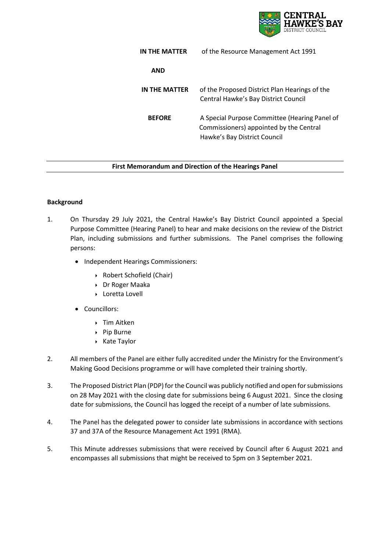

| IN THE MATTER | of the Resource Management Act 1991                                                                                      |
|---------------|--------------------------------------------------------------------------------------------------------------------------|
| <b>AND</b>    |                                                                                                                          |
| IN THE MATTER | of the Proposed District Plan Hearings of the<br>Central Hawke's Bay District Council                                    |
| <b>BEFORE</b> | A Special Purpose Committee (Hearing Panel of<br>Commissioners) appointed by the Central<br>Hawke's Bay District Council |

### **First Memorandum and Direction of the Hearings Panel**

### **Background**

- 1. On Thursday 29 July 2021, the Central Hawke's Bay District Council appointed a Special Purpose Committee (Hearing Panel) to hear and make decisions on the review of the District Plan, including submissions and further submissions. The Panel comprises the following persons:
	- Independent Hearings Commissioners:
		- Robert Schofield (Chair)
		- Dr Roger Maaka
		- Loretta Lovell
	- Councillors:
		- ▶ Tim Aitken
		- ▶ Pip Burne
		- ▶ Kate Taylor
- 2. All members of the Panel are either fully accredited under the Ministry for the Environment's Making Good Decisions programme or will have completed their training shortly.
- 3. The Proposed District Plan (PDP) for the Council was publicly notified and open for submissions on 28 May 2021 with the closing date for submissions being 6 August 2021. Since the closing date for submissions, the Council has logged the receipt of a number of late submissions.
- 4. The Panel has the delegated power to consider late submissions in accordance with sections 37 and 37A of the Resource Management Act 1991 (RMA).
- 5. This Minute addresses submissions that were received by Council after 6 August 2021 and encompasses all submissions that might be received to 5pm on 3 September 2021.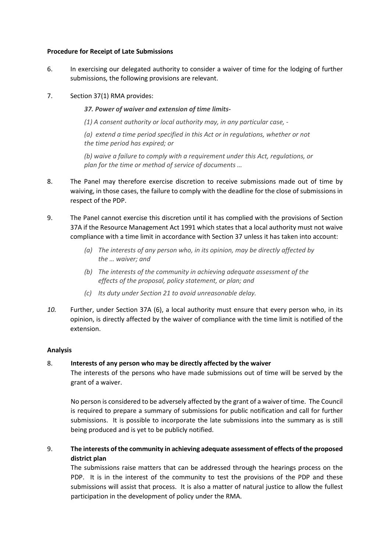### **Procedure for Receipt of Late Submissions**

6. In exercising our delegated authority to consider a waiver of time for the lodging of further submissions, the following provisions are relevant.

## 7. Section 37(1) RMA provides:

*37. Power of waiver and extension of time limits-*

*(1) A consent authority or local authority may, in any particular case, -*

*(a) extend a time period specified in this Act or in regulations, whether or not the time period has expired; or*

*(b) waive a failure to comply with a requirement under this Act, regulations, or plan for the time or method of service of documents …*

- 8. The Panel may therefore exercise discretion to receive submissions made out of time by waiving, in those cases, the failure to comply with the deadline for the close of submissions in respect of the PDP.
- 9. The Panel cannot exercise this discretion until it has complied with the provisions of Section 37A if the Resource Management Act 1991 which states that a local authority must not waive compliance with a time limit in accordance with Section 37 unless it has taken into account:
	- *(a) The interests of any person who, in its opinion, may be directly affected by the … waiver; and*
	- *(b) The interests of the community in achieving adequate assessment of the effects of the proposal, policy statement, or plan; and*
	- *(c) Its duty under Section 21 to avoid unreasonable delay.*
- *10.* Further, under Section 37A (6), a local authority must ensure that every person who, in its opinion, is directly affected by the waiver of compliance with the time limit is notified of the extension.

## **Analysis**

# 8. **Interests of any person who may be directly affected by the waiver**

The interests of the persons who have made submissions out of time will be served by the grant of a waiver.

No person is considered to be adversely affected by the grant of a waiver of time. The Council is required to prepare a summary of submissions for public notification and call for further submissions. It is possible to incorporate the late submissions into the summary as is still being produced and is yet to be publicly notified.

9. **The interests of the community in achieving adequate assessment of effects of the proposed district plan**

The submissions raise matters that can be addressed through the hearings process on the PDP. It is in the interest of the community to test the provisions of the PDP and these submissions will assist that process. It is also a matter of natural justice to allow the fullest participation in the development of policy under the RMA.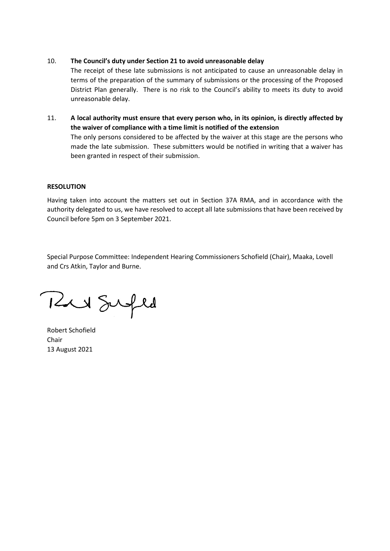### 10. **The Council's duty under Section 21 to avoid unreasonable delay**

The receipt of these late submissions is not anticipated to cause an unreasonable delay in terms of the preparation of the summary of submissions or the processing of the Proposed District Plan generally. There is no risk to the Council's ability to meets its duty to avoid unreasonable delay.

11. **A local authority must ensure that every person who, in its opinion, is directly affected by the waiver of compliance with a time limit is notified of the extension** The only persons considered to be affected by the waiver at this stage are the persons who made the late submission. These submitters would be notified in writing that a waiver has been granted in respect of their submission.

### **RESOLUTION**

Having taken into account the matters set out in Section 37A RMA, and in accordance with the authority delegated to us, we have resolved to accept all late submissions that have been received by Council before 5pm on 3 September 2021.

Special Purpose Committee: Independent Hearing Commissioners Schofield (Chair), Maaka, Lovell and Crs Atkin, Taylor and Burne.

Rue Sufed

Robert Schofield Chair 13 August 2021